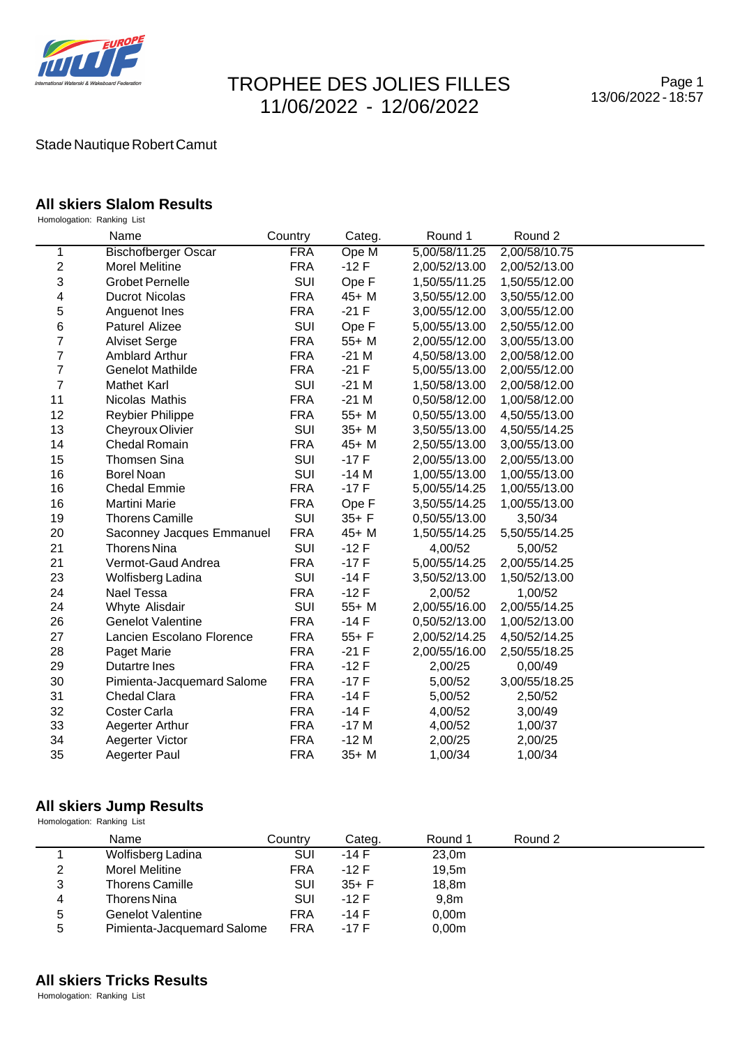

# TROPHEE DES JOLIES FILLES 11/06/2022 - 12/06/2022

## Stade Nautique Robert Camut

### **All skiers Slalom Results**

Homologation: Ranking List

|                         | Name                       | Country    | Categ.   | Round 1       | Round 2       |  |
|-------------------------|----------------------------|------------|----------|---------------|---------------|--|
| 1                       | <b>Bischofberger Oscar</b> | <b>FRA</b> | Ope M    | 5,00/58/11.25 | 2,00/58/10.75 |  |
| $\boldsymbol{2}$        | <b>Morel Melitine</b>      | <b>FRA</b> | $-12F$   | 2,00/52/13.00 | 2,00/52/13.00 |  |
| 3                       | <b>Grobet Pernelle</b>     | SUI        | Ope F    | 1,50/55/11.25 | 1,50/55/12.00 |  |
| $\overline{\mathbf{4}}$ | Ducrot Nicolas             | <b>FRA</b> | 45+ M    | 3,50/55/12.00 | 3,50/55/12.00 |  |
| 5                       | Anguenot Ines              | <b>FRA</b> | $-21 F$  | 3,00/55/12.00 | 3,00/55/12.00 |  |
| 6                       | Paturel Alizee             | SUI        | Ope F    | 5,00/55/13.00 | 2,50/55/12.00 |  |
| 7                       | <b>Alviset Serge</b>       | <b>FRA</b> | $55+M$   | 2,00/55/12.00 | 3,00/55/13.00 |  |
| 7                       | <b>Amblard Arthur</b>      | <b>FRA</b> | $-21M$   | 4,50/58/13.00 | 2,00/58/12.00 |  |
| $\overline{7}$          | <b>Genelot Mathilde</b>    | <b>FRA</b> | $-21$ F  | 5,00/55/13.00 | 2,00/55/12.00 |  |
| $\overline{7}$          | <b>Mathet Karl</b>         | SUI        | $-21M$   | 1,50/58/13.00 | 2,00/58/12.00 |  |
| 11                      | Nicolas Mathis             | <b>FRA</b> | $-21M$   | 0,50/58/12.00 | 1,00/58/12.00 |  |
| 12                      | <b>Reybier Philippe</b>    | <b>FRA</b> | $55+M$   | 0,50/55/13.00 | 4,50/55/13.00 |  |
| 13                      | Cheyroux Olivier           | SUI        | $35+M$   | 3,50/55/13.00 | 4,50/55/14.25 |  |
| 14                      | Chedal Romain              | <b>FRA</b> | $45+ M$  | 2,50/55/13.00 | 3,00/55/13.00 |  |
| 15                      | <b>Thomsen Sina</b>        | SUI        | $-17F$   | 2,00/55/13.00 | 2,00/55/13.00 |  |
| 16                      | <b>Borel Noan</b>          | SUI        | $-14M$   | 1,00/55/13.00 | 1,00/55/13.00 |  |
| 16                      | <b>Chedal Emmie</b>        | <b>FRA</b> | $-17F$   | 5,00/55/14.25 | 1,00/55/13.00 |  |
| 16                      | Martini Marie              | <b>FRA</b> | Ope F    | 3,50/55/14.25 | 1,00/55/13.00 |  |
| 19                      | <b>Thorens Camille</b>     | SUI        | $35+ F$  | 0,50/55/13.00 | 3,50/34       |  |
| 20                      | Saconney Jacques Emmanuel  | <b>FRA</b> | $45+M$   | 1,50/55/14.25 | 5,50/55/14.25 |  |
| 21                      | Thorens Nina               | SUI        | $-12F$   | 4,00/52       | 5,00/52       |  |
| 21                      | Vermot-Gaud Andrea         | <b>FRA</b> | $-17F$   | 5,00/55/14.25 | 2,00/55/14.25 |  |
| 23                      | Wolfisberg Ladina          | SUI        | $-14F$   | 3,50/52/13.00 | 1,50/52/13.00 |  |
| 24                      | Nael Tessa                 | <b>FRA</b> | $-12F$   | 2,00/52       | 1,00/52       |  |
| 24                      | Whyte Alisdair             | SUI        | $55+M$   | 2,00/55/16.00 | 2,00/55/14.25 |  |
| 26                      | <b>Genelot Valentine</b>   | <b>FRA</b> | $-14F$   | 0,50/52/13.00 | 1,00/52/13.00 |  |
| 27                      | Lancien Escolano Florence  | <b>FRA</b> | $55+ F$  | 2,00/52/14.25 | 4,50/52/14.25 |  |
| 28                      | Paget Marie                | <b>FRA</b> | $-21$ F  | 2,00/55/16.00 | 2,50/55/18.25 |  |
| 29                      | Dutartre Ines              | <b>FRA</b> | $-12F$   | 2,00/25       | 0,00/49       |  |
| 30                      | Pimienta-Jacquemard Salome | <b>FRA</b> | $-17F$   | 5,00/52       | 3,00/55/18.25 |  |
| 31                      | Chedal Clara               | <b>FRA</b> | $-14F$   | 5,00/52       | 2,50/52       |  |
| 32                      | Coster Carla               | <b>FRA</b> | $-14F$   | 4,00/52       | 3,00/49       |  |
| 33                      | Aegerter Arthur            | <b>FRA</b> | $-17M$   | 4,00/52       | 1,00/37       |  |
| 34                      | Aegerter Victor            | <b>FRA</b> | $-12M$   | 2,00/25       | 2,00/25       |  |
| 35                      | Aegerter Paul              | <b>FRA</b> | $35 + M$ | 1,00/34       | 1,00/34       |  |

# All skiers Jump Results<br>Homologation: Ranking List

|   | Name                       | Country    | Categ.   | Round 1           | Round 2 |
|---|----------------------------|------------|----------|-------------------|---------|
|   | Wolfisberg Ladina          | SUI        | -14 F    | 23,0m             |         |
| 2 | <b>Morel Melitine</b>      | <b>FRA</b> | $-12F$   | 19.5m             |         |
| 3 | <b>Thorens Camille</b>     | <b>SUI</b> | $35 + F$ | 18,8m             |         |
| 4 | Thorens Nina               | SUI        | $-12F$   | 9.8 <sub>m</sub>  |         |
| 5 | Genelot Valentine          | <b>FRA</b> | $-14$ F  | 0.00 <sub>m</sub> |         |
| 5 | Pimienta-Jacquemard Salome | <b>FRA</b> | $-17F$   | 0,00m             |         |

# **All skiers Tricks Results**

Homologation: Ranking List